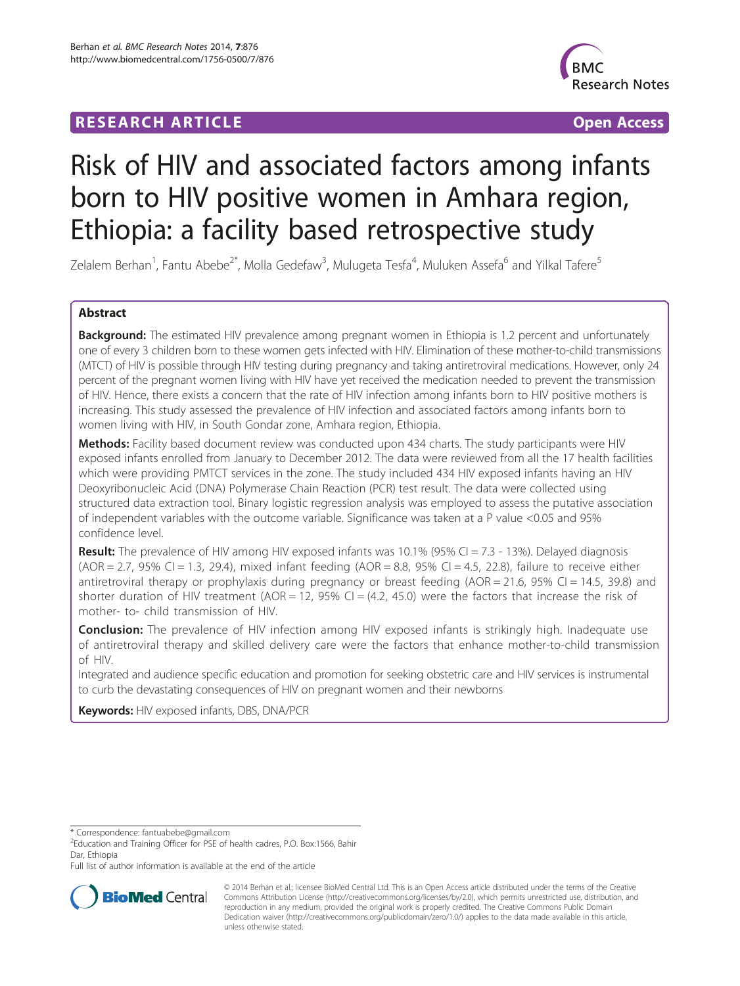## **RESEARCH ARTICLE Example 2018 12:00 Department of the Contract Open Access**



# Risk of HIV and associated factors among infants born to HIV positive women in Amhara region, Ethiopia: a facility based retrospective study

Zelalem Berhan<sup>1</sup>, Fantu Abebe<sup>2\*</sup>, Molla Gedefaw<sup>3</sup>, Mulugeta Tesfa<sup>4</sup>, Muluken Assefa<sup>6</sup> and Yilkal Tafere<sup>5</sup>

## Abstract

**Background:** The estimated HIV prevalence among pregnant women in Ethiopia is 1.2 percent and unfortunately one of every 3 children born to these women gets infected with HIV. Elimination of these mother-to-child transmissions (MTCT) of HIV is possible through HIV testing during pregnancy and taking antiretroviral medications. However, only 24 percent of the pregnant women living with HIV have yet received the medication needed to prevent the transmission of HIV. Hence, there exists a concern that the rate of HIV infection among infants born to HIV positive mothers is increasing. This study assessed the prevalence of HIV infection and associated factors among infants born to women living with HIV, in South Gondar zone, Amhara region, Ethiopia.

Methods: Facility based document review was conducted upon 434 charts. The study participants were HIV exposed infants enrolled from January to December 2012. The data were reviewed from all the 17 health facilities which were providing PMTCT services in the zone. The study included 434 HIV exposed infants having an HIV Deoxyribonucleic Acid (DNA) Polymerase Chain Reaction (PCR) test result. The data were collected using structured data extraction tool. Binary logistic regression analysis was employed to assess the putative association of independent variables with the outcome variable. Significance was taken at a P value <0.05 and 95% confidence level.

**Result:** The prevalence of HIV among HIV exposed infants was 10.1% (95% CI = 7.3 - 13%). Delayed diagnosis  $(AOR = 2.7, 95\% CI = 1.3, 29.4)$ , mixed infant feeding  $(AOR = 8.8, 95\% CI = 4.5, 22.8)$ , failure to receive either antiretroviral therapy or prophylaxis during pregnancy or breast feeding  $(AOR = 21.6, 95\% \text{ Cl} = 14.5, 39.8)$  and shorter duration of HIV treatment (AOR = 12, 95% CI = (4.2, 45.0) were the factors that increase the risk of mother- to- child transmission of HIV.

**Conclusion:** The prevalence of HIV infection among HIV exposed infants is strikingly high. Inadequate use of antiretroviral therapy and skilled delivery care were the factors that enhance mother-to-child transmission of HIV.

Integrated and audience specific education and promotion for seeking obstetric care and HIV services is instrumental to curb the devastating consequences of HIV on pregnant women and their newborns

Keywords: HIV exposed infants, DBS, DNA/PCR

\* Correspondence: [fantuabebe@gmail.com](mailto:fantuabebe@gmail.com) <sup>2</sup>

<sup>2</sup>Education and Training Officer for PSE of health cadres, P.O. Box:1566, Bahir Dar, Ethiopia

Full list of author information is available at the end of the article



© 2014 Berhan et al.; licensee BioMed Central Ltd. This is an Open Access article distributed under the terms of the Creative Commons Attribution License [\(http://creativecommons.org/licenses/by/2.0\)](http://creativecommons.org/licenses/by/2.0), which permits unrestricted use, distribution, and reproduction in any medium, provided the original work is properly credited. The Creative Commons Public Domain Dedication waiver [\(http://creativecommons.org/publicdomain/zero/1.0/](http://creativecommons.org/publicdomain/zero/1.0/)) applies to the data made available in this article, unless otherwise stated.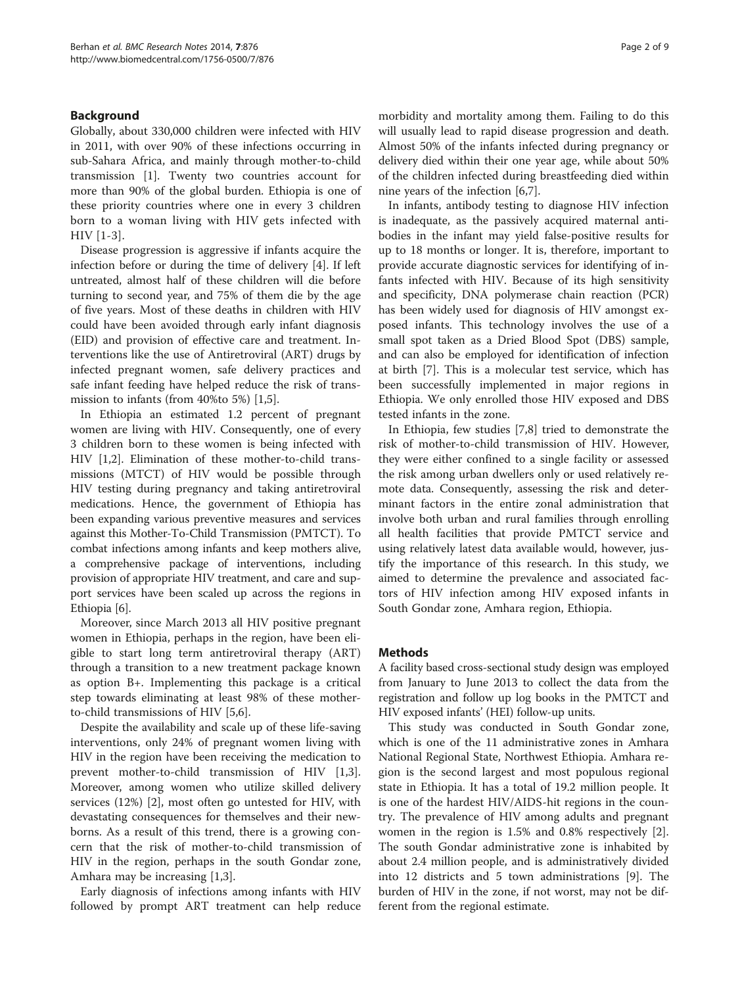## Background

Globally, about 330,000 children were infected with HIV in 2011, with over 90% of these infections occurring in sub-Sahara Africa, and mainly through mother-to-child transmission [[1](#page-8-0)]. Twenty two countries account for more than 90% of the global burden. Ethiopia is one of these priority countries where one in every 3 children born to a woman living with HIV gets infected with HIV [[1-3\]](#page-8-0).

Disease progression is aggressive if infants acquire the infection before or during the time of delivery [[4](#page-8-0)]. If left untreated, almost half of these children will die before turning to second year, and 75% of them die by the age of five years. Most of these deaths in children with HIV could have been avoided through early infant diagnosis (EID) and provision of effective care and treatment. Interventions like the use of Antiretroviral (ART) drugs by infected pregnant women, safe delivery practices and safe infant feeding have helped reduce the risk of transmission to infants (from 40%to 5%) [[1,5\]](#page-8-0).

In Ethiopia an estimated 1.2 percent of pregnant women are living with HIV. Consequently, one of every 3 children born to these women is being infected with HIV [\[1](#page-8-0),[2](#page-8-0)]. Elimination of these mother-to-child transmissions (MTCT) of HIV would be possible through HIV testing during pregnancy and taking antiretroviral medications. Hence, the government of Ethiopia has been expanding various preventive measures and services against this Mother-To-Child Transmission (PMTCT). To combat infections among infants and keep mothers alive, a comprehensive package of interventions, including provision of appropriate HIV treatment, and care and support services have been scaled up across the regions in Ethiopia [[6](#page-8-0)].

Moreover, since March 2013 all HIV positive pregnant women in Ethiopia, perhaps in the region, have been eligible to start long term antiretroviral therapy (ART) through a transition to a new treatment package known as option B+. Implementing this package is a critical step towards eliminating at least 98% of these motherto-child transmissions of HIV [[5,6\]](#page-8-0).

Despite the availability and scale up of these life-saving interventions, only 24% of pregnant women living with HIV in the region have been receiving the medication to prevent mother-to-child transmission of HIV [\[1,3](#page-8-0)]. Moreover, among women who utilize skilled delivery services (12%) [[2\]](#page-8-0), most often go untested for HIV, with devastating consequences for themselves and their newborns. As a result of this trend, there is a growing concern that the risk of mother-to-child transmission of HIV in the region, perhaps in the south Gondar zone, Amhara may be increasing [\[1,3](#page-8-0)].

Early diagnosis of infections among infants with HIV followed by prompt ART treatment can help reduce

morbidity and mortality among them. Failing to do this will usually lead to rapid disease progression and death. Almost 50% of the infants infected during pregnancy or delivery died within their one year age, while about 50% of the children infected during breastfeeding died within nine years of the infection [[6,7\]](#page-8-0).

In infants, antibody testing to diagnose HIV infection is inadequate, as the passively acquired maternal antibodies in the infant may yield false-positive results for up to 18 months or longer. It is, therefore, important to provide accurate diagnostic services for identifying of infants infected with HIV. Because of its high sensitivity and specificity, DNA polymerase chain reaction (PCR) has been widely used for diagnosis of HIV amongst exposed infants. This technology involves the use of a small spot taken as a Dried Blood Spot (DBS) sample, and can also be employed for identification of infection at birth [\[7](#page-8-0)]. This is a molecular test service, which has been successfully implemented in major regions in Ethiopia. We only enrolled those HIV exposed and DBS tested infants in the zone.

In Ethiopia, few studies [[7,8\]](#page-8-0) tried to demonstrate the risk of mother-to-child transmission of HIV. However, they were either confined to a single facility or assessed the risk among urban dwellers only or used relatively remote data. Consequently, assessing the risk and determinant factors in the entire zonal administration that involve both urban and rural families through enrolling all health facilities that provide PMTCT service and using relatively latest data available would, however, justify the importance of this research. In this study, we aimed to determine the prevalence and associated factors of HIV infection among HIV exposed infants in South Gondar zone, Amhara region, Ethiopia.

## Methods

A facility based cross-sectional study design was employed from January to June 2013 to collect the data from the registration and follow up log books in the PMTCT and HIV exposed infants' (HEI) follow-up units.

This study was conducted in South Gondar zone, which is one of the 11 administrative zones in Amhara National Regional State, Northwest Ethiopia. Amhara region is the second largest and most populous regional state in Ethiopia. It has a total of 19.2 million people. It is one of the hardest HIV/AIDS-hit regions in the country. The prevalence of HIV among adults and pregnant women in the region is 1.5% and 0.8% respectively [\[2](#page-8-0)]. The south Gondar administrative zone is inhabited by about 2.4 million people, and is administratively divided into 12 districts and 5 town administrations [[9\]](#page-8-0). The burden of HIV in the zone, if not worst, may not be different from the regional estimate.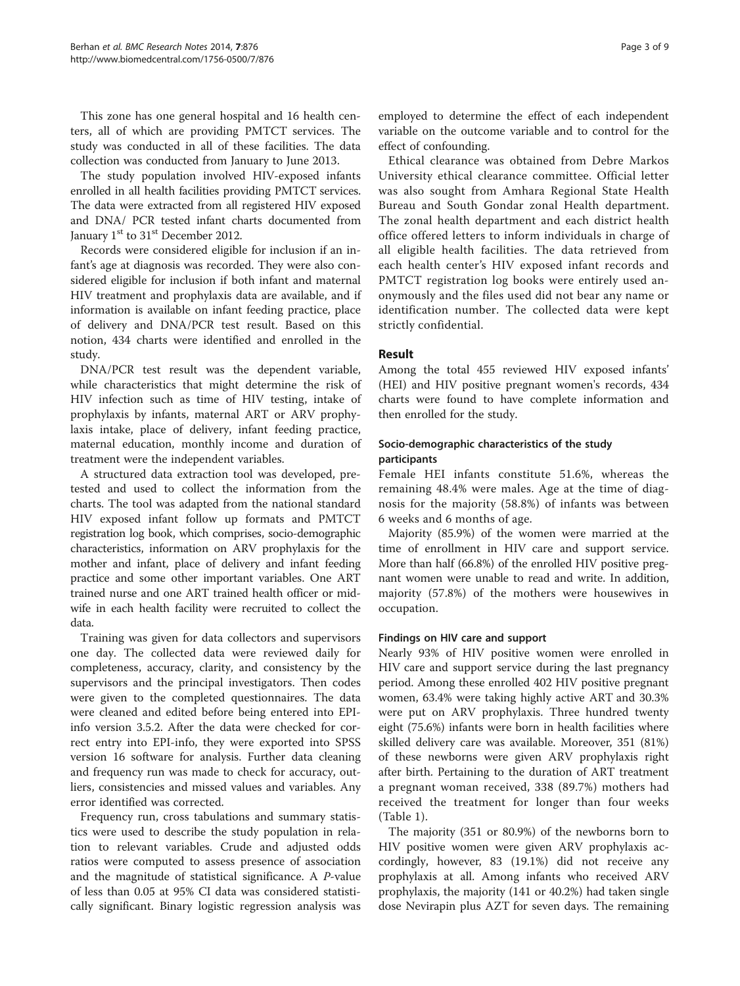This zone has one general hospital and 16 health centers, all of which are providing PMTCT services. The study was conducted in all of these facilities. The data collection was conducted from January to June 2013.

The study population involved HIV-exposed infants enrolled in all health facilities providing PMTCT services. The data were extracted from all registered HIV exposed and DNA/ PCR tested infant charts documented from January 1<sup>st</sup> to 31<sup>st</sup> December 2012.

Records were considered eligible for inclusion if an infant's age at diagnosis was recorded. They were also considered eligible for inclusion if both infant and maternal HIV treatment and prophylaxis data are available, and if information is available on infant feeding practice, place of delivery and DNA/PCR test result. Based on this notion, 434 charts were identified and enrolled in the study.

DNA/PCR test result was the dependent variable, while characteristics that might determine the risk of HIV infection such as time of HIV testing, intake of prophylaxis by infants, maternal ART or ARV prophylaxis intake, place of delivery, infant feeding practice, maternal education, monthly income and duration of treatment were the independent variables.

A structured data extraction tool was developed, pretested and used to collect the information from the charts. The tool was adapted from the national standard HIV exposed infant follow up formats and PMTCT registration log book, which comprises, socio-demographic characteristics, information on ARV prophylaxis for the mother and infant, place of delivery and infant feeding practice and some other important variables. One ART trained nurse and one ART trained health officer or midwife in each health facility were recruited to collect the data.

Training was given for data collectors and supervisors one day. The collected data were reviewed daily for completeness, accuracy, clarity, and consistency by the supervisors and the principal investigators. Then codes were given to the completed questionnaires. The data were cleaned and edited before being entered into EPIinfo version 3.5.2. After the data were checked for correct entry into EPI-info, they were exported into SPSS version 16 software for analysis. Further data cleaning and frequency run was made to check for accuracy, outliers, consistencies and missed values and variables. Any error identified was corrected.

Frequency run, cross tabulations and summary statistics were used to describe the study population in relation to relevant variables. Crude and adjusted odds ratios were computed to assess presence of association and the magnitude of statistical significance. A P-value of less than 0.05 at 95% CI data was considered statistically significant. Binary logistic regression analysis was employed to determine the effect of each independent variable on the outcome variable and to control for the effect of confounding.

Ethical clearance was obtained from Debre Markos University ethical clearance committee. Official letter was also sought from Amhara Regional State Health Bureau and South Gondar zonal Health department. The zonal health department and each district health office offered letters to inform individuals in charge of all eligible health facilities. The data retrieved from each health center's HIV exposed infant records and PMTCT registration log books were entirely used anonymously and the files used did not bear any name or identification number. The collected data were kept strictly confidential.

## Result

Among the total 455 reviewed HIV exposed infants' (HEI) and HIV positive pregnant women's records, 434 charts were found to have complete information and then enrolled for the study.

## Socio-demographic characteristics of the study participants

Female HEI infants constitute 51.6%, whereas the remaining 48.4% were males. Age at the time of diagnosis for the majority (58.8%) of infants was between 6 weeks and 6 months of age.

Majority (85.9%) of the women were married at the time of enrollment in HIV care and support service. More than half (66.8%) of the enrolled HIV positive pregnant women were unable to read and write. In addition, majority (57.8%) of the mothers were housewives in occupation.

## Findings on HIV care and support

Nearly 93% of HIV positive women were enrolled in HIV care and support service during the last pregnancy period. Among these enrolled 402 HIV positive pregnant women, 63.4% were taking highly active ART and 30.3% were put on ARV prophylaxis. Three hundred twenty eight (75.6%) infants were born in health facilities where skilled delivery care was available. Moreover, 351 (81%) of these newborns were given ARV prophylaxis right after birth. Pertaining to the duration of ART treatment a pregnant woman received, 338 (89.7%) mothers had received the treatment for longer than four weeks (Table [1\)](#page-3-0).

The majority (351 or 80.9%) of the newborns born to HIV positive women were given ARV prophylaxis accordingly, however, 83 (19.1%) did not receive any prophylaxis at all. Among infants who received ARV prophylaxis, the majority (141 or 40.2%) had taken single dose Nevirapin plus AZT for seven days. The remaining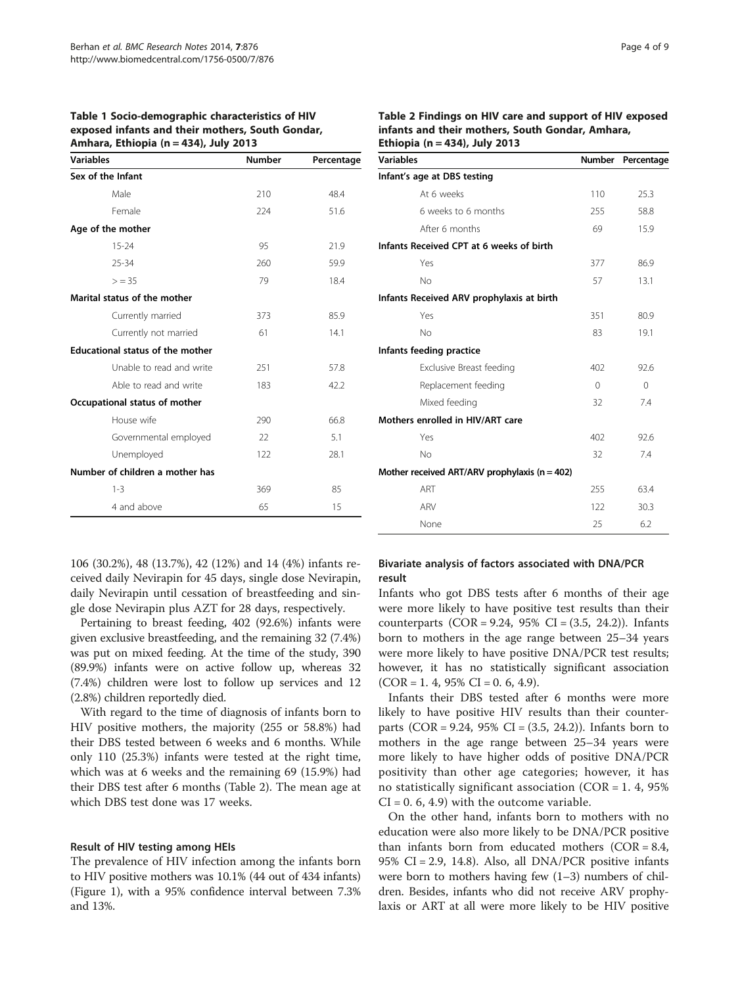<span id="page-3-0"></span>

| Table 1 Socio-demographic characteristics of HIV |  |  |  |
|--------------------------------------------------|--|--|--|
| exposed infants and their mothers, South Gondar, |  |  |  |
| Amhara, Ethiopia ( $n = 434$ ), July 2013        |  |  |  |

| <b>Variables</b>                        | <b>Number</b> | Percentage |
|-----------------------------------------|---------------|------------|
| Sex of the Infant                       |               |            |
| Male                                    | 210           | 48.4       |
| Female                                  | 224           | 51.6       |
| Age of the mother                       |               |            |
| $15 - 24$                               | 95            | 21.9       |
| $25 - 34$                               | 260           | 59.9       |
| $>$ = 35                                | 79            | 18.4       |
| Marital status of the mother            |               |            |
| Currently married                       | 373           | 85.9       |
| Currently not married                   | 61            | 14.1       |
| <b>Educational status of the mother</b> |               |            |
| Unable to read and write                | 251           | 57.8       |
| Able to read and write                  | 183           | 42.2       |
| Occupational status of mother           |               |            |
| House wife                              | 290           | 66.8       |
| Governmental employed                   | 22            | 5.1        |
| Unemployed                              | 122           | 28.1       |
| Number of children a mother has         |               |            |
| $1 - 3$                                 | 369           | 85         |
| 4 and above                             | 65            | 15         |

106 (30.2%), 48 (13.7%), 42 (12%) and 14 (4%) infants received daily Nevirapin for 45 days, single dose Nevirapin, daily Nevirapin until cessation of breastfeeding and single dose Nevirapin plus AZT for 28 days, respectively.

Pertaining to breast feeding, 402 (92.6%) infants were given exclusive breastfeeding, and the remaining 32 (7.4%) was put on mixed feeding. At the time of the study, 390 (89.9%) infants were on active follow up, whereas 32 (7.4%) children were lost to follow up services and 12 (2.8%) children reportedly died.

With regard to the time of diagnosis of infants born to HIV positive mothers, the majority (255 or 58.8%) had their DBS tested between 6 weeks and 6 months. While only 110 (25.3%) infants were tested at the right time, which was at 6 weeks and the remaining 69 (15.9%) had their DBS test after 6 months (Table 2). The mean age at which DBS test done was 17 weeks.

#### Result of HIV testing among HEIs

The prevalence of HIV infection among the infants born to HIV positive mothers was 10.1% (44 out of 434 infants) (Figure [1\)](#page-4-0), with a 95% confidence interval between 7.3% and 13%.

#### Table 2 Findings on HIV care and support of HIV exposed infants and their mothers, South Gondar, Amhara, Ethiopia ( $n = 434$ ), July 2013

| <b>Variables</b>                                  | Number   | Percentage |
|---------------------------------------------------|----------|------------|
| Infant's age at DBS testing                       |          |            |
| At 6 weeks                                        | 110      | 25.3       |
| 6 weeks to 6 months                               | 255      | 58.8       |
| After 6 months                                    | 69       | 15.9       |
| Infants Received CPT at 6 weeks of birth          |          |            |
| Yes                                               | 377      | 86.9       |
| No                                                | 57       | 13.1       |
| Infants Received ARV prophylaxis at birth         |          |            |
| Yes                                               | 351      | 80.9       |
| No                                                | 83       | 19.1       |
| Infants feeding practice                          |          |            |
| Exclusive Breast feeding                          | 402      | 92.6       |
| Replacement feeding                               | $\Omega$ | $\Omega$   |
| Mixed feeding                                     | 32       | 7.4        |
| Mothers enrolled in HIV/ART care                  |          |            |
| Yes                                               | 402      | 92.6       |
| No                                                | 32       | 7.4        |
| Mother received ART/ARV prophylaxis ( $n = 402$ ) |          |            |
| ART                                               | 255      | 63.4       |
| ARV                                               | 122      | 30.3       |
| None                                              | 25       | 6.2        |

## Bivariate analysis of factors associated with DNA/PCR result

Infants who got DBS tests after 6 months of their age were more likely to have positive test results than their counterparts  $(COR = 9.24, 95\% \text{ CI} = (3.5, 24.2))$ . Infants born to mothers in the age range between 25–34 years were more likely to have positive DNA/PCR test results; however, it has no statistically significant association  $(COR = 1, 4, 95\% \text{ CI} = 0.6, 4.9).$ 

Infants their DBS tested after 6 months were more likely to have positive HIV results than their counterparts (COR = 9.24, 95% CI = (3.5, 24.2)). Infants born to mothers in the age range between 25–34 years were more likely to have higher odds of positive DNA/PCR positivity than other age categories; however, it has no statistically significant association  $(COR = 1, 4, 95\%)$  $CI = 0.6, 4.9$ ) with the outcome variable.

On the other hand, infants born to mothers with no education were also more likely to be DNA/PCR positive than infants born from educated mothers  $(COR = 8.4,$ 95% CI = 2.9, 14.8). Also, all DNA/PCR positive infants were born to mothers having few  $(1-3)$  numbers of children. Besides, infants who did not receive ARV prophylaxis or ART at all were more likely to be HIV positive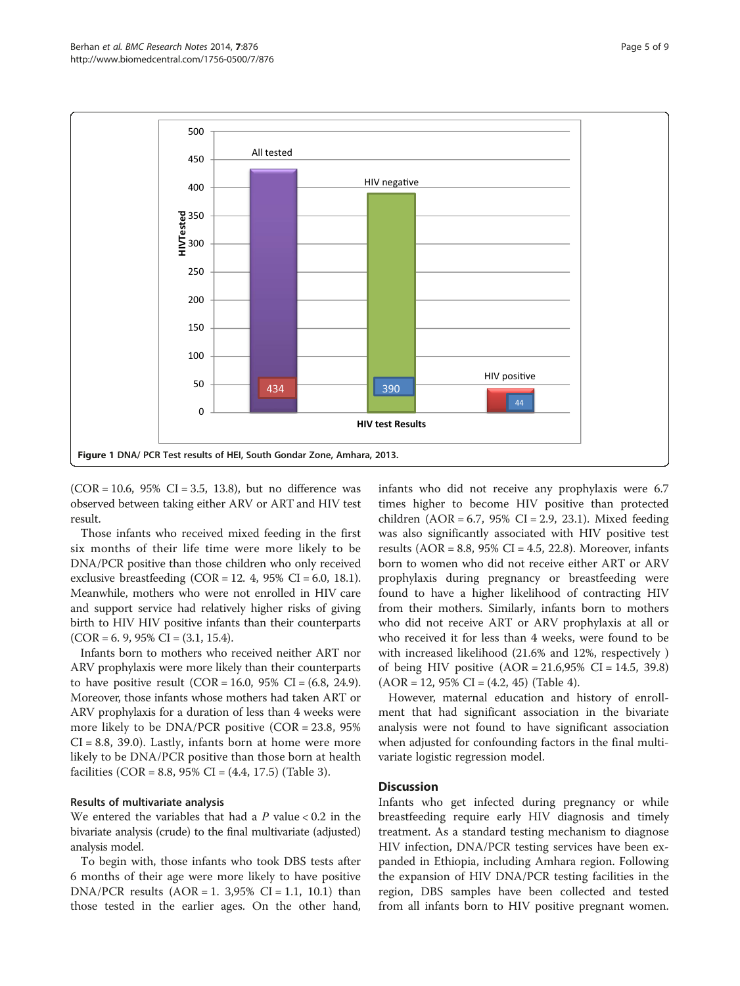<span id="page-4-0"></span>

 $(COR = 10.6, 95\% \text{ CI} = 3.5, 13.8)$ , but no difference was observed between taking either ARV or ART and HIV test result.

Those infants who received mixed feeding in the first six months of their life time were more likely to be DNA/PCR positive than those children who only received exclusive breastfeeding  $(COR = 12, 4, 95\% \text{ CI} = 6.0, 18.1)$ . Meanwhile, mothers who were not enrolled in HIV care and support service had relatively higher risks of giving birth to HIV HIV positive infants than their counterparts  $(COR = 6, 9, 95\% \text{ CI} = (3.1, 15.4).$ 

Infants born to mothers who received neither ART nor ARV prophylaxis were more likely than their counterparts to have positive result (COR = 16.0,  $95\%$  CI = (6.8, 24.9). Moreover, those infants whose mothers had taken ART or ARV prophylaxis for a duration of less than 4 weeks were more likely to be DNA/PCR positive (COR = 23.8, 95%  $CI = 8.8, 39.0$ . Lastly, infants born at home were more likely to be DNA/PCR positive than those born at health facilities (COR = 8.8, 95% CI =  $(4.4, 17.5)$  (Table [3\)](#page-5-0).

#### Results of multivariate analysis

We entered the variables that had a  $P$  value < 0.2 in the bivariate analysis (crude) to the final multivariate (adjusted) analysis model.

To begin with, those infants who took DBS tests after 6 months of their age were more likely to have positive DNA/PCR results  $(AOR = 1.3,95\% \text{ CI} = 1.1, 10.1)$  than those tested in the earlier ages. On the other hand,

infants who did not receive any prophylaxis were 6.7 times higher to become HIV positive than protected children (AOR = 6.7, 95% CI = 2.9, 23.1). Mixed feeding was also significantly associated with HIV positive test results  $(AOR = 8.8, 95\% CI = 4.5, 22.8)$ . Moreover, infants born to women who did not receive either ART or ARV prophylaxis during pregnancy or breastfeeding were found to have a higher likelihood of contracting HIV from their mothers. Similarly, infants born to mothers who did not receive ART or ARV prophylaxis at all or who received it for less than 4 weeks, were found to be with increased likelihood (21.6% and 12%, respectively ) of being HIV positive  $(AOR = 21.6,95\% \text{ CI} = 14.5, 39.8)$  $(AOR = 12, 95\% CI = (4.2, 45)$  (Table [4\)](#page-6-0).

However, maternal education and history of enrollment that had significant association in the bivariate analysis were not found to have significant association when adjusted for confounding factors in the final multivariate logistic regression model.

#### **Discussion**

Infants who get infected during pregnancy or while breastfeeding require early HIV diagnosis and timely treatment. As a standard testing mechanism to diagnose HIV infection, DNA/PCR testing services have been expanded in Ethiopia, including Amhara region. Following the expansion of HIV DNA/PCR testing facilities in the region, DBS samples have been collected and tested from all infants born to HIV positive pregnant women.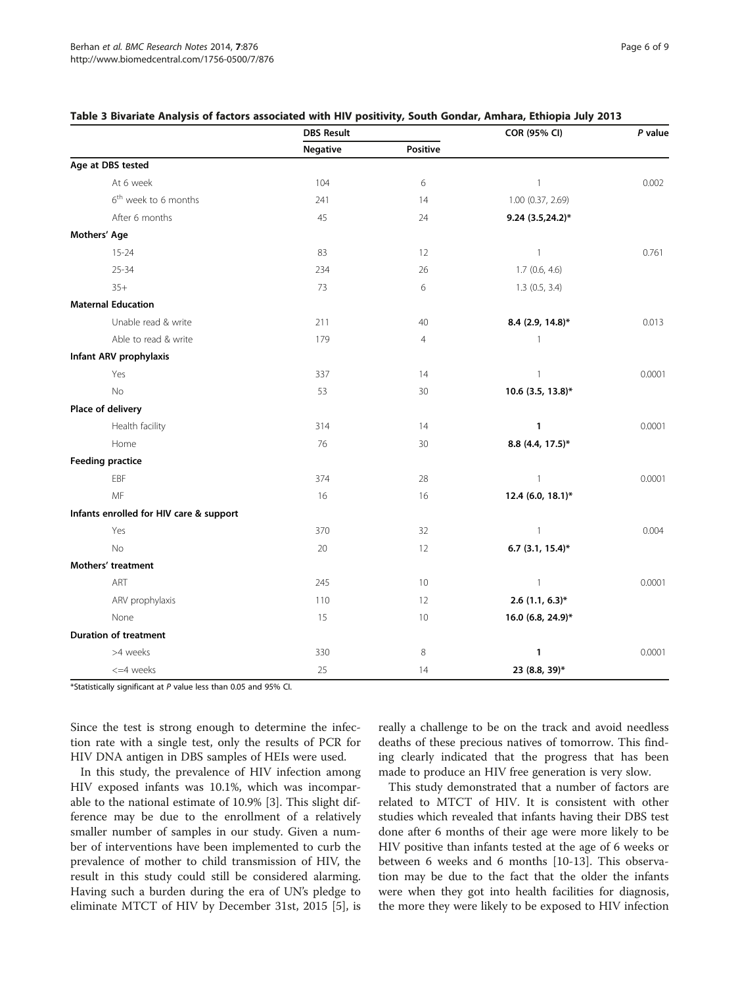|                                         | <b>DBS Result</b> |                | COR (95% CI)      | P value |
|-----------------------------------------|-------------------|----------------|-------------------|---------|
|                                         | <b>Negative</b>   | Positive       |                   |         |
| Age at DBS tested                       |                   |                |                   |         |
| At 6 week                               | 104               | 6              | $\overline{1}$    | 0.002   |
| 6 <sup>th</sup> week to 6 months        | 241               | 14             | 1.00 (0.37, 2.69) |         |
| After 6 months                          | 45                | 24             | 9.24 (3.5,24.2)*  |         |
| Mothers' Age                            |                   |                |                   |         |
| $15 - 24$                               | 83                | 12             | $\mathbf{1}$      | 0.761   |
| 25-34                                   | 234               | 26             | $1.7$ (0.6, 4.6)  |         |
| $35+$                                   | 73                | 6              | 1.3(0.5, 3.4)     |         |
| <b>Maternal Education</b>               |                   |                |                   |         |
| Unable read & write                     | 211               | 40             | 8.4 (2.9, 14.8)*  | 0.013   |
| Able to read & write                    | 179               | $\overline{4}$ | $\mathbf{1}$      |         |
| Infant ARV prophylaxis                  |                   |                |                   |         |
| Yes                                     | 337               | 14             | 1                 | 0.0001  |
| <b>No</b>                               | 53                | 30             | 10.6 (3.5, 13.8)* |         |
| Place of delivery                       |                   |                |                   |         |
| Health facility                         | 314               | 14             | 1                 | 0.0001  |
| Home                                    | 76                | 30             | 8.8 (4.4, 17.5)*  |         |
| <b>Feeding practice</b>                 |                   |                |                   |         |
| EBF                                     | 374               | 28             | 1                 | 0.0001  |
| MF                                      | 16                | 16             | 12.4 (6.0, 18.1)* |         |
| Infants enrolled for HIV care & support |                   |                |                   |         |
| Yes                                     | 370               | 32             | $\mathbf{1}$      | 0.004   |
| No                                      | 20                | 12             | 6.7 (3.1, 15.4)*  |         |
| Mothers' treatment                      |                   |                |                   |         |
| ART                                     | 245               | 10             | $\mathbf{1}$      | 0.0001  |
| ARV prophylaxis                         | 110               | 12             | $2.6$ (1.1, 6.3)* |         |
| None                                    | 15                | 10             | 16.0 (6.8, 24.9)* |         |
| <b>Duration of treatment</b>            |                   |                |                   |         |
| >4 weeks                                | 330               | 8              | 1                 | 0.0001  |
| <= 4 weeks                              | 25                | 14             | 23 (8.8, 39)*     |         |

#### <span id="page-5-0"></span>Table 3 Bivariate Analysis of factors associated with HIV positivity, South Gondar, Amhara, Ethiopia July 2013

\*Statistically significant at P value less than 0.05 and 95% CI.

Since the test is strong enough to determine the infection rate with a single test, only the results of PCR for HIV DNA antigen in DBS samples of HEIs were used.

In this study, the prevalence of HIV infection among HIV exposed infants was 10.1%, which was incomparable to the national estimate of 10.9% [\[3\]](#page-8-0). This slight difference may be due to the enrollment of a relatively smaller number of samples in our study. Given a number of interventions have been implemented to curb the prevalence of mother to child transmission of HIV, the result in this study could still be considered alarming. Having such a burden during the era of UN's pledge to eliminate MTCT of HIV by December 31st, 2015 [\[5](#page-8-0)], is really a challenge to be on the track and avoid needless deaths of these precious natives of tomorrow. This finding clearly indicated that the progress that has been made to produce an HIV free generation is very slow.

This study demonstrated that a number of factors are related to MTCT of HIV. It is consistent with other studies which revealed that infants having their DBS test done after 6 months of their age were more likely to be HIV positive than infants tested at the age of 6 weeks or between 6 weeks and 6 months [\[10](#page-8-0)-[13\]](#page-8-0). This observation may be due to the fact that the older the infants were when they got into health facilities for diagnosis, the more they were likely to be exposed to HIV infection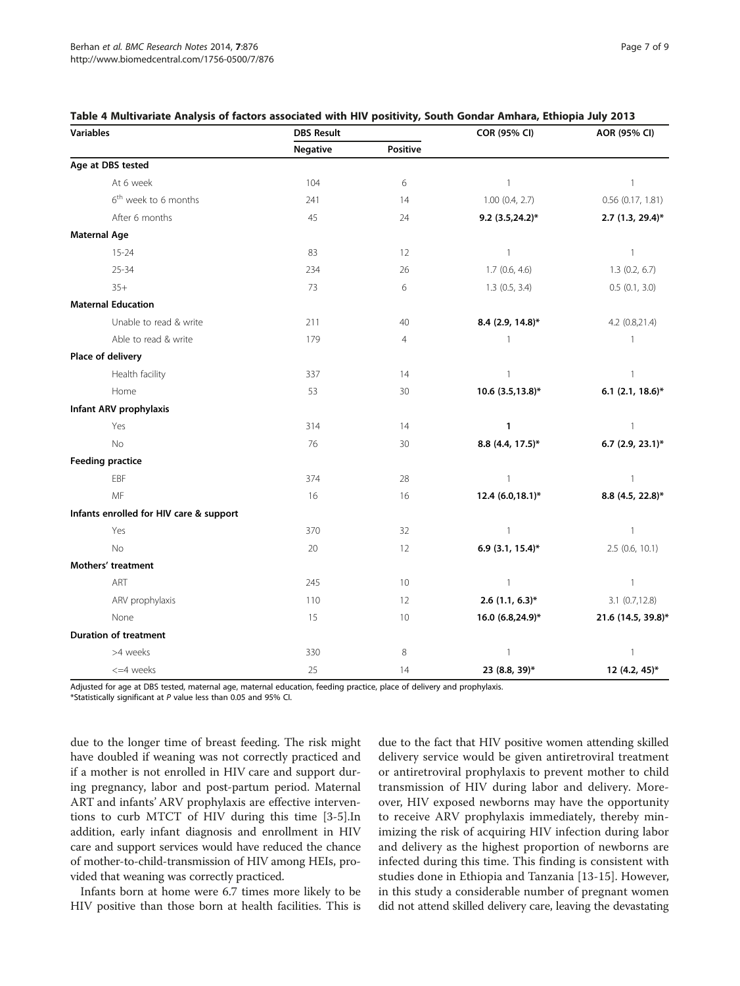| <b>Variables</b>                        | <b>DBS Result</b> |                 | COR (95% CI)          | AOR (95% CI)       |
|-----------------------------------------|-------------------|-----------------|-----------------------|--------------------|
|                                         | <b>Negative</b>   | <b>Positive</b> |                       |                    |
| Age at DBS tested                       |                   |                 |                       |                    |
| At 6 week                               | 104               | 6               | $\mathbf{1}$          | $\mathbf{1}$       |
| 6 <sup>th</sup> week to 6 months        | 241               | 14              | $1.00$ $(0.4, 2.7)$   | 0.56(0.17, 1.81)   |
| After 6 months                          | 45                | 24              | $9.2 (3.5, 24.2)^*$   | $2.7$ (1.3, 29.4)* |
| <b>Maternal Age</b>                     |                   |                 |                       |                    |
| $15 - 24$                               | 83                | 12              | $\overline{1}$        | $\mathbf{1}$       |
| $25 - 34$                               | 234               | 26              | $1.7$ (0.6, 4.6)      | $1.3$ (0.2, 6.7)   |
| $35+$                                   | 73                | 6               | 1.3(0.5, 3.4)         | $0.5$ $(0.1, 3.0)$ |
| <b>Maternal Education</b>               |                   |                 |                       |                    |
| Unable to read & write                  | 211               | 40              | 8.4 (2.9, 14.8)*      | 4.2 (0.8,21.4)     |
| Able to read & write                    | 179               | $\overline{4}$  | $\mathbf{1}$          | $\mathbf{1}$       |
| Place of delivery                       |                   |                 |                       |                    |
| Health facility                         | 337               | 14              | $\mathbf{1}$          | $\mathbf{1}$       |
| Home                                    | 53                | 30              | $10.6$ (3.5,13.8)*    | 6.1 (2.1, 18.6)*   |
| Infant ARV prophylaxis                  |                   |                 |                       |                    |
| Yes                                     | 314               | 14              | 1                     | $\mathbf{1}$       |
| No                                      | 76                | 30              | 8.8 (4.4, 17.5)*      | 6.7 (2.9, 23.1)*   |
| <b>Feeding practice</b>                 |                   |                 |                       |                    |
| EBF                                     | 374               | 28              | $\mathbf{1}$          | $\mathbf{1}$       |
| MF                                      | 16                | 16              | $12.4(6.0, 18.1)^{*}$ | 8.8 (4.5, 22.8)*   |
| Infants enrolled for HIV care & support |                   |                 |                       |                    |
| Yes                                     | 370               | 32              | $\mathbf{1}$          | $\mathbf{1}$       |
| No                                      | 20                | 12              | 6.9 (3.1, 15.4)*      | 2.5(0.6, 10.1)     |
| Mothers' treatment                      |                   |                 |                       |                    |
| ART                                     | 245               | 10              | $\mathbf{1}$          | $\mathbf{1}$       |
| ARV prophylaxis                         | 110               | 12              | $2.6$ (1.1, 6.3)*     | 3.1 (0.7, 12.8)    |
| None                                    | 15                | 10              | 16.0 (6.8,24.9)*      | 21.6 (14.5, 39.8)* |
| <b>Duration of treatment</b>            |                   |                 |                       |                    |
| >4 weeks                                | 330               | 8               | $\mathbf{1}$          | 1                  |
| <= 4 weeks                              | 25                | 14              | 23 (8.8, 39)*         | 12 (4.2, 45)*      |

## <span id="page-6-0"></span>Table 4 Multivariate Analysis of factors associated with HIV positivity, South Gondar Amhara, Ethiopia July 2013

Adjusted for age at DBS tested, maternal age, maternal education, feeding practice, place of delivery and prophylaxis.

\*Statistically significant at P value less than 0.05 and 95% CI.

due to the longer time of breast feeding. The risk might have doubled if weaning was not correctly practiced and if a mother is not enrolled in HIV care and support during pregnancy, labor and post-partum period. Maternal ART and infants' ARV prophylaxis are effective interventions to curb MTCT of HIV during this time [\[3](#page-8-0)-[5\]](#page-8-0).In addition, early infant diagnosis and enrollment in HIV care and support services would have reduced the chance of mother-to-child-transmission of HIV among HEIs, provided that weaning was correctly practiced.

Infants born at home were 6.7 times more likely to be HIV positive than those born at health facilities. This is due to the fact that HIV positive women attending skilled delivery service would be given antiretroviral treatment or antiretroviral prophylaxis to prevent mother to child transmission of HIV during labor and delivery. Moreover, HIV exposed newborns may have the opportunity to receive ARV prophylaxis immediately, thereby minimizing the risk of acquiring HIV infection during labor and delivery as the highest proportion of newborns are infected during this time. This finding is consistent with studies done in Ethiopia and Tanzania [\[13](#page-8-0)-[15\]](#page-8-0). However, in this study a considerable number of pregnant women did not attend skilled delivery care, leaving the devastating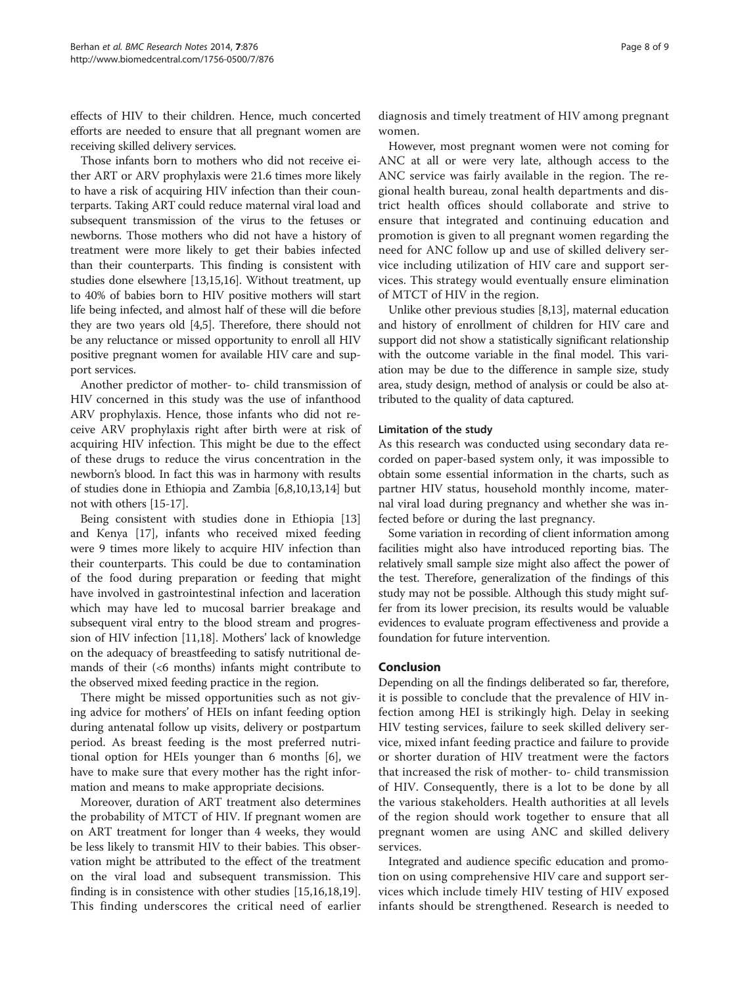effects of HIV to their children. Hence, much concerted efforts are needed to ensure that all pregnant women are receiving skilled delivery services.

Those infants born to mothers who did not receive either ART or ARV prophylaxis were 21.6 times more likely to have a risk of acquiring HIV infection than their counterparts. Taking ART could reduce maternal viral load and subsequent transmission of the virus to the fetuses or newborns. Those mothers who did not have a history of treatment were more likely to get their babies infected than their counterparts. This finding is consistent with studies done elsewhere [\[13,15,16](#page-8-0)]. Without treatment, up to 40% of babies born to HIV positive mothers will start life being infected, and almost half of these will die before they are two years old [[4,5\]](#page-8-0). Therefore, there should not be any reluctance or missed opportunity to enroll all HIV positive pregnant women for available HIV care and support services.

Another predictor of mother- to- child transmission of HIV concerned in this study was the use of infanthood ARV prophylaxis. Hence, those infants who did not receive ARV prophylaxis right after birth were at risk of acquiring HIV infection. This might be due to the effect of these drugs to reduce the virus concentration in the newborn's blood. In fact this was in harmony with results of studies done in Ethiopia and Zambia [\[6,8,10,13,14\]](#page-8-0) but not with others [[15](#page-8-0)-[17](#page-8-0)].

Being consistent with studies done in Ethiopia [[13](#page-8-0)] and Kenya [\[17\]](#page-8-0), infants who received mixed feeding were 9 times more likely to acquire HIV infection than their counterparts. This could be due to contamination of the food during preparation or feeding that might have involved in gastrointestinal infection and laceration which may have led to mucosal barrier breakage and subsequent viral entry to the blood stream and progression of HIV infection [\[11,18](#page-8-0)]. Mothers' lack of knowledge on the adequacy of breastfeeding to satisfy nutritional demands of their (<6 months) infants might contribute to the observed mixed feeding practice in the region.

There might be missed opportunities such as not giving advice for mothers' of HEIs on infant feeding option during antenatal follow up visits, delivery or postpartum period. As breast feeding is the most preferred nutritional option for HEIs younger than 6 months [[6\]](#page-8-0), we have to make sure that every mother has the right information and means to make appropriate decisions.

Moreover, duration of ART treatment also determines the probability of MTCT of HIV. If pregnant women are on ART treatment for longer than 4 weeks, they would be less likely to transmit HIV to their babies. This observation might be attributed to the effect of the treatment on the viral load and subsequent transmission. This finding is in consistence with other studies [[15,16,18,19](#page-8-0)]. This finding underscores the critical need of earlier

diagnosis and timely treatment of HIV among pregnant women.

However, most pregnant women were not coming for ANC at all or were very late, although access to the ANC service was fairly available in the region. The regional health bureau, zonal health departments and district health offices should collaborate and strive to ensure that integrated and continuing education and promotion is given to all pregnant women regarding the need for ANC follow up and use of skilled delivery service including utilization of HIV care and support services. This strategy would eventually ensure elimination of MTCT of HIV in the region.

Unlike other previous studies [\[8,13\]](#page-8-0), maternal education and history of enrollment of children for HIV care and support did not show a statistically significant relationship with the outcome variable in the final model. This variation may be due to the difference in sample size, study area, study design, method of analysis or could be also attributed to the quality of data captured.

#### Limitation of the study

As this research was conducted using secondary data recorded on paper-based system only, it was impossible to obtain some essential information in the charts, such as partner HIV status, household monthly income, maternal viral load during pregnancy and whether she was infected before or during the last pregnancy.

Some variation in recording of client information among facilities might also have introduced reporting bias. The relatively small sample size might also affect the power of the test. Therefore, generalization of the findings of this study may not be possible. Although this study might suffer from its lower precision, its results would be valuable evidences to evaluate program effectiveness and provide a foundation for future intervention.

#### Conclusion

Depending on all the findings deliberated so far, therefore, it is possible to conclude that the prevalence of HIV infection among HEI is strikingly high. Delay in seeking HIV testing services, failure to seek skilled delivery service, mixed infant feeding practice and failure to provide or shorter duration of HIV treatment were the factors that increased the risk of mother- to- child transmission of HIV. Consequently, there is a lot to be done by all the various stakeholders. Health authorities at all levels of the region should work together to ensure that all pregnant women are using ANC and skilled delivery services.

Integrated and audience specific education and promotion on using comprehensive HIV care and support services which include timely HIV testing of HIV exposed infants should be strengthened. Research is needed to